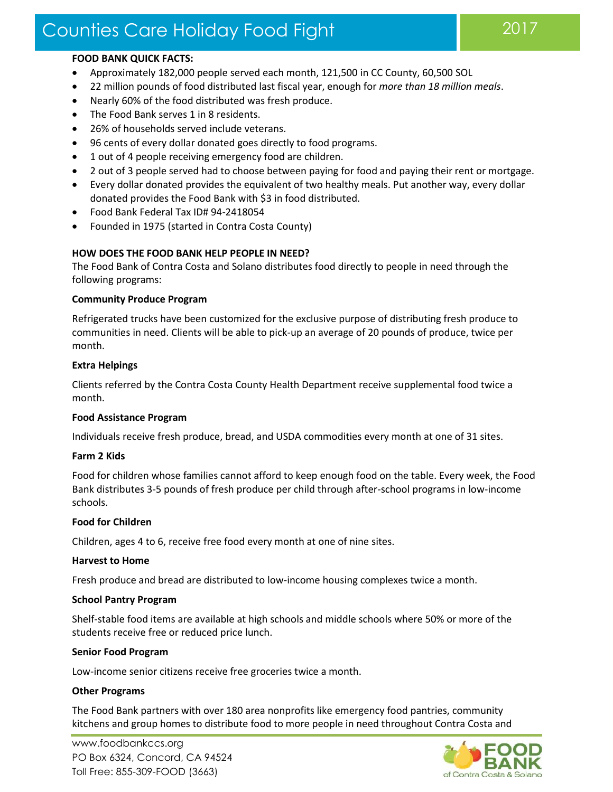# Counties Care Holiday Food Fight 2017

#### **FOOD BANK QUICK FACTS:**

- Approximately 182,000 people served each month, 121,500 in CC County, 60,500 SOL
- 22 million pounds of food distributed last fiscal year, enough for *more than 18 million meals*.
- Nearly 60% of the food distributed was fresh produce.
- The Food Bank serves 1 in 8 residents.
- 26% of households served include veterans.
- 96 cents of every dollar donated goes directly to food programs.
- 1 out of 4 people receiving emergency food are children.
- 2 out of 3 people served had to choose between paying for food and paying their rent or mortgage.
- Every dollar donated provides the equivalent of two healthy meals. Put another way, every dollar donated provides the Food Bank with \$3 in food distributed.
- Food Bank Federal Tax ID# 94-2418054
- Founded in 1975 (started in Contra Costa County)

## **HOW DOES THE FOOD BANK HELP PEOPLE IN NEED?**

The Food Bank of Contra Costa and Solano distributes food directly to people in need through the following programs:

#### **Community Produce Program**

Refrigerated trucks have been customized for the exclusive purpose of distributing fresh produce to communities in need. Clients will be able to pick-up an average of 20 pounds of produce, twice per month.

#### **Extra Helpings**

Clients referred by the Contra Costa County Health Department receive supplemental food twice a month.

#### **Food Assistance Program**

Individuals receive fresh produce, bread, and USDA commodities every month at one of 31 sites.

## **Farm 2 Kids**

Food for children whose families cannot afford to keep enough food on the table. Every week, the Food Bank distributes 3-5 pounds of fresh produce per child through after-school programs in low-income schools.

## **Food for Children**

Children, ages 4 to 6, receive free food every month at one of nine sites.

#### **Harvest to Home**

Fresh produce and bread are distributed to low-income housing complexes twice a month.

#### **School Pantry Program**

Shelf-stable food items are available at high schools and middle schools where 50% or more of the students receive free or reduced price lunch.

## **Senior Food Program**

Low-income senior citizens receive free groceries twice a month.

## **Other Programs**

The Food Bank partners with over 180 area nonprofits like emergency food pantries, community kitchens and group homes to distribute food to more people in need throughout Contra Costa and